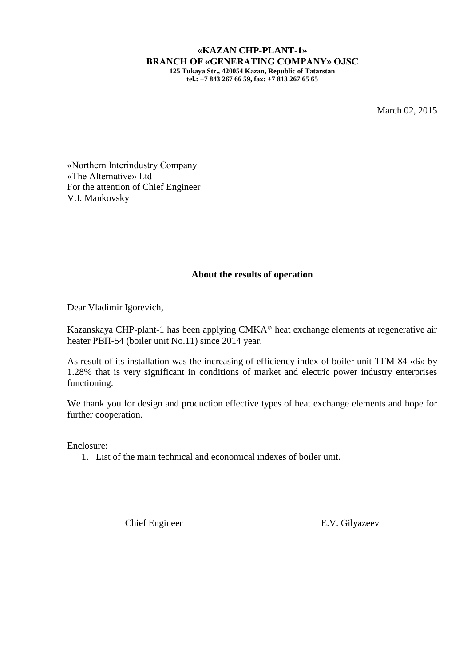**«KAZAN CHP-PLANT-1» BRANCH OF «GENERATING COMPANY» OJSC 125 Tukaya Str., 420054 Kazan, Republic of Tatarstan tel.: +7 843 267 66 59, fax: +7 813 267 65 65**

March 02, 2015

«Northern Interindustry Company «The Alternative» Ltd For the attention of Chief Engineer V.I. Mankovsky

## **About the results of operation**

Dear Vladimir Igorevich,

Kazanskaya CHP-plant-1 has been applying CMKA® heat exchange elements at regenerative air heater РВП-54 (boiler unit No.11) since 2014 year.

As result of its installation was the increasing of efficiency index of boiler unit ТГМ-84 «Б» by 1.28% that is very significant in conditions of market and electric power industry enterprises functioning.

We thank you for design and production effective types of heat exchange elements and hope for further cooperation.

Enclosure:

1. List of the main technical and economical indexes of boiler unit.

Chief Engineer E.V. Gilyazeev